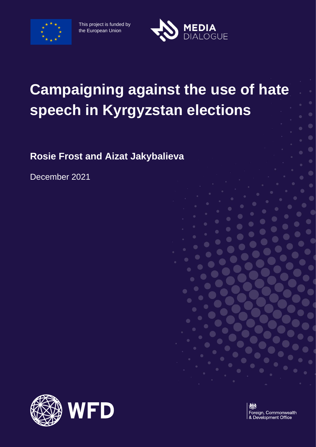

This project is funded by the European Union



# **Campaigning against the use of hate speech in Kyrgyzstan elections**

**Rosie Frost and Aizat Jakybalieva** 

December 2021



Foreign, Commonwealth<br>& Development Office

 $\bullet$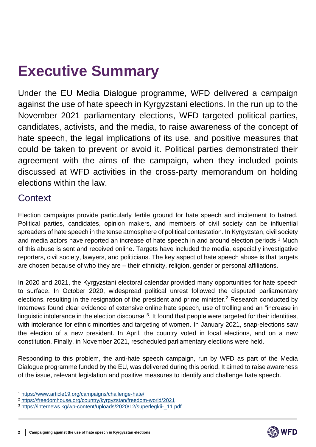# **Executive Summary**

Under the EU Media Dialogue programme, WFD delivered a campaign against the use of hate speech in Kyrgyzstani elections. In the run up to the November 2021 parliamentary elections, WFD targeted political parties, candidates, activists, and the media, to raise awareness of the concept of hate speech, the legal implications of its use, and positive measures that could be taken to prevent or avoid it. Political parties demonstrated their agreement with the aims of the campaign, when they included points discussed at WFD activities in the cross-party memorandum on holding elections within the law.

### **Context**

Election campaigns provide particularly fertile ground for hate speech and incitement to hatred. Political parties, candidates, opinion makers, and members of civil society can be influential spreaders of hate speech in the tense atmosphere of political contestation. In Kyrgyzstan, civil society and media actors have reported an increase of hate speech in and around election periods.<sup>1</sup> Much of this abuse is sent and received online. Targets have included the media, especially investigative reporters, civil society, lawyers, and politicians. The key aspect of hate speech abuse is that targets are chosen because of who they are – their ethnicity, religion, gender or personal affiliations.

In 2020 and 2021, the Kyrgyzstani electoral calendar provided many opportunities for hate speech to surface. In October 2020, widespread political unrest followed the disputed parliamentary elections, resulting in the resignation of the president and prime minister.<sup>2</sup> Research conducted by Internews found clear evidence of extensive online hate speech, use of trolling and an "increase in linguistic intolerance in the election discourse"<sup>3</sup>. It found that people were targeted for their identities, with intolerance for ethnic minorities and targeting of women. In January 2021, snap-elections saw the election of a new president. In April, the country voted in local elections, and on a new constitution. Finally, in November 2021, rescheduled parliamentary elections were held.

Responding to this problem, the anti-hate speech campaign, run by WFD as part of the Media Dialogue programme funded by the EU, was delivered during this period. It aimed to raise awareness of the issue, relevant legislation and positive measures to identify and challenge hate speech.



<sup>1</sup> <https://www.article19.org/campaigns/challenge-hate/>

<sup>2</sup> <https://freedomhouse.org/country/kyrgyzstan/freedom-world/2021>

<sup>3</sup> [https://internews.kg/wp-content/uploads/2020/12/superlegkii-\\_11.pdf](https://internews.kg/wp-content/uploads/2020/12/superlegkii-_11.pdf)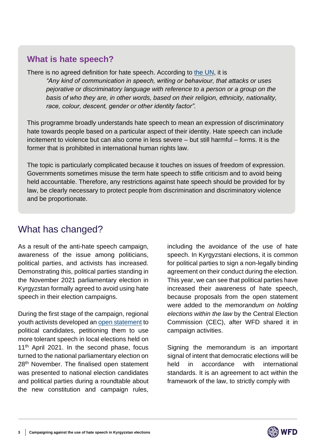#### **What is hate speech?**

There is no agreed definition for hate speech. According to [the UN,](https://www.un.org/en/genocideprevention/documents/UN%20Strategy%20and%20Plan%20of%20Action%20on%20Hate%20Speech%2018%20June%20SYNOPSIS.pdf) it is *"Any kind of communication in speech, writing or behaviour, that attacks or uses pejorative or discriminatory language with reference to a person or a group on the basis of who they are, in other words, based on their religion, ethnicity, nationality, race, colour, descent, gender or other identity factor".*

This programme broadly understands hate speech to mean an expression of discriminatory hate towards people based on a particular aspect of their identity. Hate speech can include incitement to violence but can also come in less severe – but still harmful – forms. It is the former that is prohibited in international human rights law.

The topic is particularly complicated because it touches on issues of freedom of expression. Governments sometimes misuse the term hate speech to stifle criticism and to avoid being held accountable. Therefore, any restrictions against hate speech should be provided for by law, be clearly necessary to protect people from discrimination and discriminatory violence and be proportionate.

### What has changed?

As a result of the anti-hate speech campaign, awareness of the issue among politicians, political parties, and activists has increased. Demonstrating this, political parties standing in the November 2021 parliamentary election in Kyrgyzstan formally agreed to avoid using hate speech in their election campaigns.

During the first stage of the campaign, regional youth activists developed an [open statement](https://mediadialogue.kg/en/6891/) to political candidates, petitioning them to use more tolerant speech in local elections held on 11<sup>th</sup> April 2021. In the second phase, focus turned to the national parliamentary election on 28<sup>th</sup> November. The finalised open statement was presented to national election candidates and political parties during a roundtable about the new constitution and campaign rules,

including the avoidance of the use of hate speech. In Kyrgyzstani elections, it is common for political parties to sign a non-legally binding agreement on their conduct during the election. This year, we can see that political parties have increased their awareness of hate speech, because proposals from the open statement were added to the *memorandum on holding elections within the law* by the Central Election Commission (CEC), after WFD shared it in campaign activities.

Signing the memorandum is an important signal of intent that democratic elections will be held in accordance with international standards. It is an agreement to act within the framework of the law, to strictly comply with

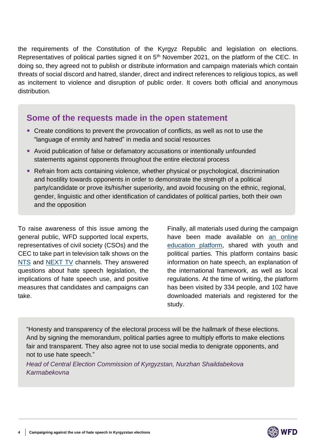the requirements of the Constitution of the Kyrgyz Republic and legislation on elections. Representatives of political parties signed it on 5<sup>th</sup> November 2021, on the platform of the CEC. In doing so, they agreed not to publish or distribute information and campaign materials which contain threats of social discord and hatred, slander, direct and indirect references to religious topics, as well as incitement to violence and disruption of public order. It covers both official and anonymous distribution.

#### **Some of the requests made in the open statement**

- Create conditions to prevent the provocation of conflicts, as well as not to use the "language of enmity and hatred" in media and social resources
- Avoid publication of false or defamatory accusations or intentionally unfounded statements against opponents throughout the entire electoral process
- Refrain from acts containing violence, whether physical or psychological, discrimination and hostility towards opponents in order to demonstrate the strength of a political party/candidate or prove its/his/her superiority, and avoid focusing on the ethnic, regional, gender, linguistic and other identification of candidates of political parties, both their own and the opposition

To raise awareness of this issue among the general public, WFD supported local experts, representatives of civil society (CSOs) and the CEC to take part in television talk shows on the [NTS](https://www.youtube.com/watch?v=w9agoZJfcNg) and [NEXT TV](https://www.youtube.com/watch?v=BKRMKUUSsTI) channels. They answered questions about hate speech legislation, the implications of hate speech use, and positive measures that candidates and campaigns can take.

Finally, all materials used during the campaign have been made available on an [online](https://education.kg/)  [education platform,](https://education.kg/) shared with youth and political parties. This platform contains basic information on hate speech, an explanation of the international framework, as well as local regulations. At the time of writing, the platform has been visited by 334 people, and 102 have downloaded materials and registered for the study.

"Honesty and transparency of the electoral process will be the hallmark of these elections. And by signing the memorandum, political parties agree to multiply efforts to make elections fair and transparent. They also agree not to use social media to denigrate opponents, and not to use hate speech."

*Head of Central Election Commission of Kyrgyzstan, Nurzhan Shaildabekova Karmabekovna*

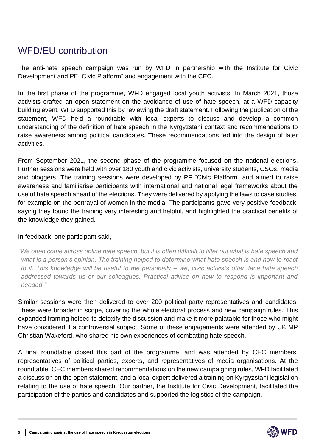## WFD/EU contribution

The anti-hate speech campaign was run by WFD in partnership with the Institute for Civic Development and PF "Civic Platform" and engagement with the CEC.

In the first phase of the programme, WFD engaged local youth activists. In March 2021, those activists crafted an open statement on the avoidance of use of hate speech, at a WFD capacity building event. WFD supported this by reviewing the draft statement. Following the publication of the statement, WFD held a roundtable with local experts to discuss and develop a common understanding of the definition of hate speech in the Kyrgyzstani context and recommendations to raise awareness among political candidates. These recommendations fed into the design of later activities.

From September 2021, the second phase of the programme focused on the national elections. Further sessions were held with over 180 youth and civic activists, university students, CSOs, media and bloggers. The training sessions were developed by PF "Civic Platform" and aimed to raise awareness and familiarise participants with international and national legal frameworks about the use of hate speech ahead of the elections. They were delivered by applying the laws to case studies, for example on the portrayal of women in the media. The participants gave very positive feedback, saying they found the training very interesting and helpful, and highlighted the practical benefits of the knowledge they gained.

#### In feedback, one participant said,

*"We often come across online hate speech, but it is often difficult to filter out what is hate speech and what is a person's opinion. The training helped to determine what hate speech is and how to react to it. This knowledge will be useful to me personally – we, civic activists often face hate speech addressed towards us or our colleagues. Practical advice on how to respond is important and needed."*

Similar sessions were then delivered to over 200 political party representatives and candidates. These were broader in scope, covering the whole electoral process and new campaign rules. This expanded framing helped to detoxify the discussion and make it more palatable for those who might have considered it a controversial subject. Some of these engagements were attended by UK MP Christian Wakeford, who shared his own experiences of combatting hate speech.

A final roundtable closed this part of the programme, and was attended by CEC members, representatives of political parties, experts, and representatives of media organisations. At the roundtable, CEC members shared recommendations on the new campaigning rules, WFD facilitated a discussion on the open statement, and a local expert delivered a training on Kyrgyzstani legislation relating to the use of hate speech. Our partner, the Institute for Civic Development, facilitated the participation of the parties and candidates and supported the logistics of the campaign.

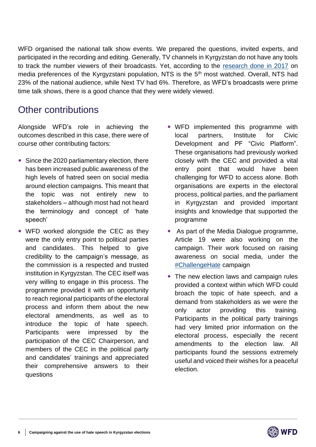WFD organised the national talk show events. We prepared the questions, invited experts, and participated in the recording and editing. Generally, TV channels in Kyrgyzstan do not have any tools to track the number viewers of their broadcasts. Yet, according to the [research done in 2017](http://www.m-vector.com/uploads/files/5c53b63660dec.pdf) on media preferences of the Kyrgyzstani population, NTS is the 5<sup>th</sup> most watched. Overall, NTS had 23% of the national audience, while Next TV had 6%. Therefore, as WFD's broadcasts were prime time talk shows, there is a good chance that they were widely viewed.

### Other contributions

Alongside WFD's role in achieving the outcomes described in this case, there were of course other contributing factors:

- Since the 2020 parliamentary election, there has been increased public awareness of the high levels of hatred seen on social media around election campaigns. This meant that the topic was not entirely new to stakeholders – although most had not heard the terminology and concept of 'hate speech'
- WFD worked alongside the CEC as they were the only entry point to political parties and candidates. This helped to give credibility to the campaign's message, as the commission is a respected and trusted institution in Kyrgyzstan. The CEC itself was very willing to engage in this process. The programme provided it with an opportunity to reach regional participants of the electoral process and inform them about the new electoral amendments, as well as to introduce the topic of hate speech. Participants were impressed by the participation of the CEC Chairperson, and members of the CEC in the political party and candidates' trainings and appreciated their comprehensive answers to their questions
- WFD implemented this programme with local partners, Institute for Civic Development and PF "Civic Platform". These organisations had previously worked closely with the CEC and provided a vital entry point that would have been challenging for WFD to access alone. Both organisations are experts in the electoral process, political parties, and the parliament in Kyrgyzstan and provided important insights and knowledge that supported the programme
- As part of the Media Dialogue programme, Article 19 were also working on the campaign. Their work focused on raising awareness on social media, under the [#ChallengeHate](https://challengehate.com/) campaign
- The new election laws and campaign rules provided a context within which WFD could broach the topic of hate speech, and a demand from stakeholders as we were the only actor providing this training. Participants in the political party trainings had very limited prior information on the electoral process, especially the recent amendments to the election law. All participants found the sessions extremely useful and voiced their wishes for a peaceful election.

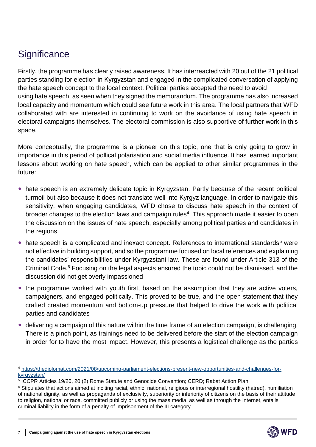# **Significance**

Firstly, the programme has clearly raised awareness. It has interreacted with 20 out of the 21 political parties standing for election in Kyrgyzstan and engaged in the complicated conversation of applying the hate speech concept to the local context. Political parties accepted the need to avoid using hate speech, as seen when they signed the memorandum. The programme has also increased local capacity and momentum which could see future work in this area. The local partners that WFD collaborated with are interested in continuing to work on the avoidance of using hate speech in electoral campaigns themselves. The electoral commission is also supportive of further work in this space.

More conceptually, the programme is a pioneer on this topic, one that is only going to grow in importance in this period of pollical polarisation and social media influence. It has learned important lessons about working on hate speech, which can be applied to other similar programmes in the future:

- hate speech is an extremely delicate topic in Kyrgyzstan. Partly because of the recent political turmoil but also because it does not translate well into Kyrgyz language. In order to navigate this sensitivity, when engaging candidates, WFD chose to discuss hate speech in the context of broader changes to the election laws and campaign rules<sup>4</sup>. This approach made it easier to open the discussion on the issues of hate speech, especially among political parties and candidates in the regions
- hate speech is a complicated and inexact concept. References to international standards<sup>5</sup> were not effective in building support, and so the programme focused on local references and explaining the candidates' responsibilities under Kyrgyzstani law. These are found under Article 313 of the Criminal Code.<sup>6</sup> Focusing on the legal aspects ensured the topic could not be dismissed, and the discussion did not get overly impassioned
- the programme worked with youth first, based on the assumption that they are active voters, campaigners, and engaged politically. This proved to be true, and the open statement that they crafted created momentum and bottom-up pressure that helped to drive the work with political parties and candidates
- delivering a campaign of this nature within the time frame of an election campaign, is challenging. There is a pinch point, as trainings need to be delivered before the start of the election campaign in order for to have the most impact. However, this presents a logistical challenge as the parties



<sup>4</sup> [https://thediplomat.com/2021/08/upcoming-parliament-elections-present-new-opportunities-and-challenges-for](https://thediplomat.com/2021/08/upcoming-parliament-elections-present-new-opportunities-and-challenges-for-kyrgyzstan/)[kyrgyzstan/](https://thediplomat.com/2021/08/upcoming-parliament-elections-present-new-opportunities-and-challenges-for-kyrgyzstan/)

<sup>5</sup> ICCPR Articles 19/20, 20 (2) Rome Statute and Genocide Convention; CERD; Rabat Action Plan

<sup>6</sup> Stipulates that actions aimed at inciting racial, ethnic, national, religious or interregional hostility (hatred), humiliation of national dignity, as well as propaganda of exclusivity, superiority or inferiority of citizens on the basis of their attitude to religion, national or race, committed publicly or using the mass media, as well as through the Internet, entails criminal liability in the form of a penalty of imprisonment of the III category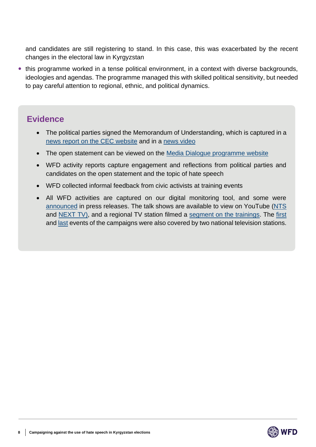and candidates are still registering to stand. In this case, this was exacerbated by the recent changes in the electoral law in Kyrgyzstan

• this programme worked in a tense political environment, in a context with diverse backgrounds, ideologies and agendas. The programme managed this with skilled political sensitivity, but needed to pay careful attention to regional, ethnic, and political dynamics.

#### **Evidence**

- The political parties signed the Memorandum of Understanding, which is captured in a [news report on the CEC website](https://shailoo.gov.kg/ru/news/5833/) and in a [news video](https://www.youtube.com/watch?v=UytMD7C5udE)
- The open statement can be viewed on the [Media Dialogue programme website](https://mediadialogue.kg/en/6891/)
- WFD activity reports capture engagement and reflections from political parties and candidates on the open statement and the topic of hate speech
- WFD collected informal feedback from civic activists at training events
- All WFD activities are captured on our digital monitoring tool, and some were [announced](https://www.wfd.org/2021/10/08/training-workshops-on-preventing-hate-speech-take-place-across-kyrgyzstan/) in press releases. The talk shows are available to view on YouTube [\(NTS](https://www.youtube.com/watch?v=w9agoZJfcNg) and [NEXT TV\)](https://www.youtube.com/watch?v=BKRMKUUSsTI), and a regional TV station filmed a [segment on the trainings.](https://www.youtube.com/watch?v=AlxOcd16Pog) The [first](https://www.youtube.com/watch?v=sQZZ3SbIAX4) and [last](https://www.youtube.com/watch?v=8GDgt9dNGEg) events of the campaigns were also covered by two national television stations.